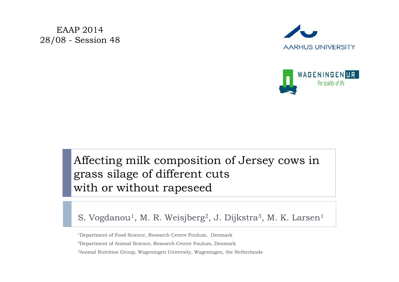EAAP 2014 28/08 - Session 48





## Affecting milk composition of Jersey cows in grass silage of different cuts with or without rapeseed

#### S. Vogdanou $^1$ , M. R. Weisjberg $^2$ , J. Dijkstra $^3$ , M. K. Larsen $^1$

1Department of Food Science, Research Centre Foulum, Denmark

2Department of Animal Science, Research Centre Foulum, Denmark

3Animal Nutrition Group, Wageningen University, Wageningen, the Netherlands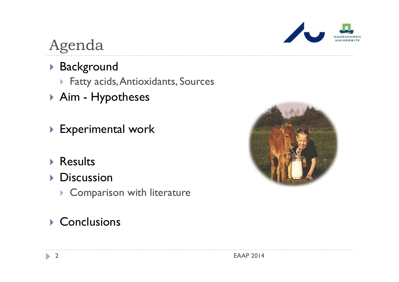

# Agenda

- Background
	- Fatty acids, Antioxidants, Sources
- Aim Hypotheses
- Experimental work
- ▶ Results
- **Discussion** 
	- **Comparison with literature**

## ▶ Conclusions

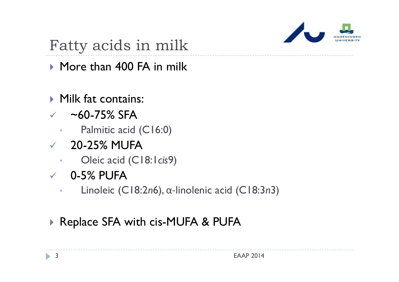

# Fatty acids in milk

▶ More than 400 FA in milk

- ▶ Milk fat contains:
- $\sim$   $-60$ -75% SFA
	- •Palmitic acid (C16:0)
- $\times$  20-25% MUFA
	- •Oleic acid (C18:1*cis*9)
- $\sqrt{}$  0-5% PUFA
	- •Linoleic (C18:2 *<sup>n</sup>*6), α‐linolenic acid (C18:3 *<sup>n</sup>*3)

## ▶ Replace SFA with cis-MUFA & PUFA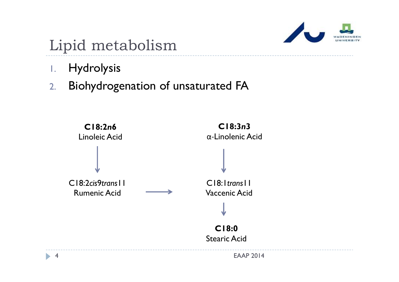

# Lipid metabolism

- 1.Hydrolysis
- 2.Biohydrogenation of unsaturated FA

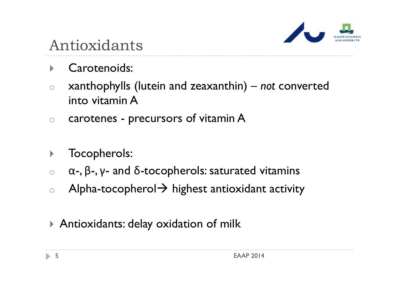

# Antioxidants

- $\blacktriangleright$ Carotenoids:
- o xanthophylls (lutein and zeaxanthin) – *not* converted into vitamin A
- ocarotenes - precursors of vitamin A
- $\blacktriangleright$ Tocopherols:
- o<sup>α</sup>-, β-, γ- and δ-tocopherols: saturated vitamins
- oAlpha-tocopherol  $\rightarrow$  highest antioxidant activity
- Antioxidants: delay oxidation of milk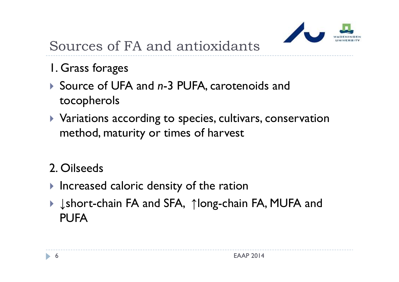

# Sources of FA and antioxidants

- 1. Grass forages
- ▶ Source of UFA and *n*-3 PUFA, carotenoids and tocopherols
- Variations according to species, cultivars, conservation method, maturity or times of harvest

## 2. Oilseeds

- **Increased caloric density of the ration**
- ▶ ↓short-chain FA and SFA, ↑long-chain FA, MUFA and PUFA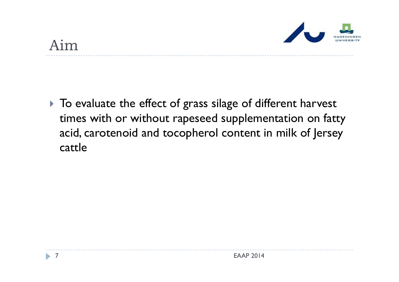

## Aim

 $\blacktriangleright$  To evaluate the effect of grass silage of different harvest times with or without rapeseed supplementation on fatty acid, carotenoid and tocopherol content in milk of Jersey cattle

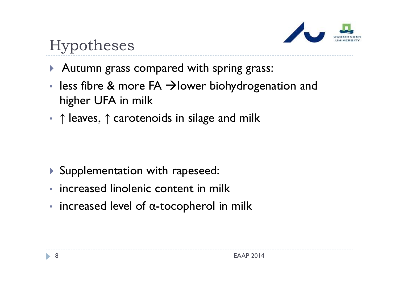

# Hypotheses

- Autumn grass compared with spring grass:
- • $\cdot$  less fibre & more FA  $\rightarrow$  lower biohydrogenation and higher UFA in milk
- $\bullet$ • ↑ leaves, ↑ carotenoids in silage and milk

- Supplementation with rapeseed:
- increased linolenic content in milk
- •• increased level of α-tocopherol in milk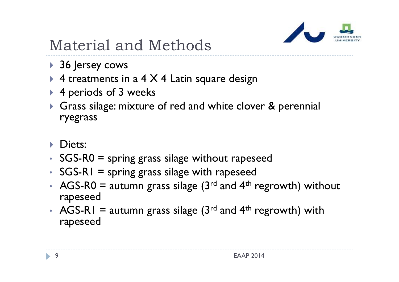

# Material and Methods

- 36 Jersey cows
- $\blacktriangleright$  4 treatments in a 4 X 4 Latin square design
- ▶ 4 periods of 3 weeks
- Grass silage: mixture of red and white clover & perennial ryegrass
- **Diets:**
- SGS-R0 = spring grass silage without rapeseed
- SGS-RI = spring grass silage with rapeseed
- •• AGS-R0 = autumn grass silage ( $3<sup>rd</sup>$  and  $4<sup>th</sup>$  regrowth) without rapeseed
- •• AGS-R1 = autumn grass silage  $(3<sup>rd</sup>$  and  $4<sup>th</sup>$  regrowth) with rapeseed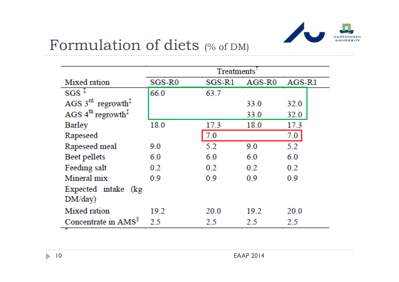

## Formulation of diets (% of DM)

|                                                        | <b>Treatments</b>  |          |                    |        |
|--------------------------------------------------------|--------------------|----------|--------------------|--------|
| Mixed ration                                           | SGS-R <sub>0</sub> | $SGS-R1$ | AGS-R <sub>0</sub> | AGS-R1 |
| $SGS^+$                                                | 66.0               | 63.7     |                    |        |
| AGS $3^{rd}$ regrowth <sup>1</sup>                     |                    |          | 33.0               | 32.0   |
| AGS $4^{th}$ regrowth <sup><math>\ddagger</math></sup> |                    |          | 33.0               | 32.0   |
| Barley                                                 | 18.0               | 17.3     | 18.0               | 17.3   |
| Rapeseed                                               |                    | 7.0      |                    | 7.0    |
| Rapeseed meal                                          | 9.0                | 5.2      | 9.0                | 5.2    |
| Beet pellets                                           | 6.0                | 6.0      | 6.0                | 6.0    |
| Feeding salt                                           | 0.2                | 0.2      | 0.2                | 0.2    |
| Mineral mix                                            | 0.9                | 0.9      | 0.9                | 0.9    |
| Expected intake (kg                                    |                    |          |                    |        |
| DM/day)                                                |                    |          |                    |        |
| Mixed ration                                           | 19.2               | 20.0     | 19.2               | 20.0   |
| Concentrate in AMS <sup>§</sup>                        | 25                 | 2.5      | 2.5                | 25     |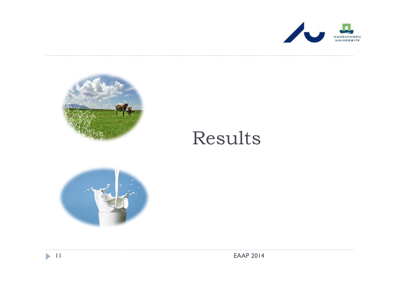



# Results



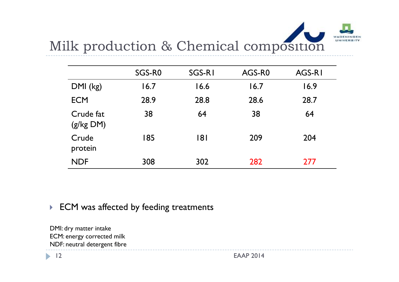# Milk production & Chemical composition

|                        | SGS-RO | SGS-RI | AGS-R0 | AGS-RI |
|------------------------|--------|--------|--------|--------|
| $DMI$ (kg)             | 16.7   | 16.6   | 16.7   | 16.9   |
| <b>ECM</b>             | 28.9   | 28.8   | 28.6   | 28.7   |
| Crude fat<br>(g/kg DM) | 38     | 64     | 38     | 64     |
| Crude<br>protein       | 185    | 181    | 209    | 204    |
| <b>NDF</b>             | 308    | 302    | 282    | 277    |

### ▶ ECM was affected by feeding treatments

DMI: dry matter intake ECM: energy corrected milk NDF: neutral detergent fibre

 $\blacktriangleright$  12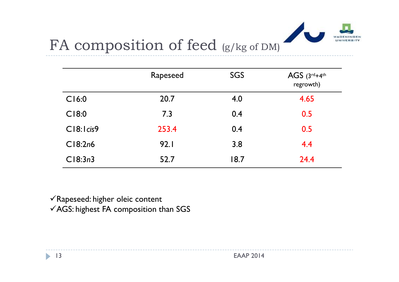

# FA composition of feed (g/kg of DM)

|            | Rapeseed | <b>SGS</b> | AGS $(3^{rd}+4^{th})$<br>regrowth) |
|------------|----------|------------|------------------------------------|
| CI6:0      | 20.7     | 4.0        | 4.65                               |
| C18:0      | 7.3      | 0.4        | 0.5                                |
| C18:1 cis9 | 253.4    | 0.4        | 0.5                                |
| CI8:2n6    | 92.1     | 3.8        | 4.4                                |
| CI8:3n3    | 52.7     | 18.7       | 24.4                               |

 $\checkmark$  Rapeseed: higher oleic content

 $\checkmark$  AGS: highest FA composition than SGS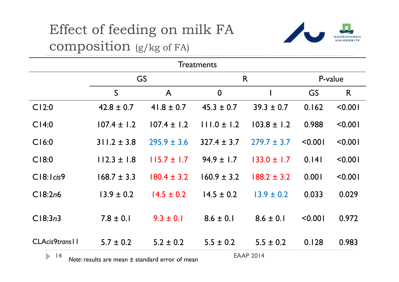# Effect of feeding on milk FA composition (g/kg of FA)



| <b>Treatments</b>                                                                                  |                 |                 |                  |                 |         |         |  |
|----------------------------------------------------------------------------------------------------|-----------------|-----------------|------------------|-----------------|---------|---------|--|
|                                                                                                    | GS              |                 |                  | R               |         | P-value |  |
|                                                                                                    | S               | $\mathsf{A}$    | $\boldsymbol{0}$ |                 | GS      | R       |  |
| CI2:0                                                                                              | $42.8 \pm 0.7$  | $41.8 \pm 0.7$  | $45.3 \pm 0.7$   | $39.3 \pm 0.7$  | 0.162   | < 0.001 |  |
| CI4:0                                                                                              | $107.4 \pm 1.2$ | $107.4 \pm 1.2$ | $111.0 \pm 1.2$  | $103.8 \pm 1.2$ | 0.988   | < 0.001 |  |
| CI6:0                                                                                              | $311.2 \pm 3.8$ | $295.9 \pm 3.6$ | $327.4 \pm 3.7$  | $279.7 \pm 3.7$ | < 0.001 | < 0.001 |  |
| C18:0                                                                                              | $112.3 \pm 1.8$ | $115.7 \pm 1.7$ | $94.9 \pm 1.7$   | $133.0 \pm 1.7$ | 0.141   | < 0.001 |  |
| C18:1 cis9                                                                                         | $168.7 \pm 3.3$ | $180.4 \pm 3.2$ | $160.9 \pm 3.2$  | $188.2 \pm 3.2$ | 0.001   | < 0.001 |  |
| C18:2n6                                                                                            | $13.9 \pm 0.2$  | $14.5 \pm 0.2$  | $14.5 \pm 0.2$   | $13.9 \pm 0.2$  | 0.033   | 0.029   |  |
| Cl8:3n3                                                                                            | $7.8 \pm 0.1$   | $9.3 \pm 0.1$   | $8.6 \pm 0.1$    | $8.6 \pm 0.1$   | < 0.001 | 0.972   |  |
| CLAcis9trans                                                                                       | $5.7 \pm 0.2$   | $5.2 \pm 0.2$   | $5.5 \pm 0.2$    | $5.5 \pm 0.2$   | 0.128   | 0.983   |  |
| <b>EAAP 2014</b><br>$\blacktriangleright$<br> 4<br>Note: results are mean ± standard error of mean |                 |                 |                  |                 |         |         |  |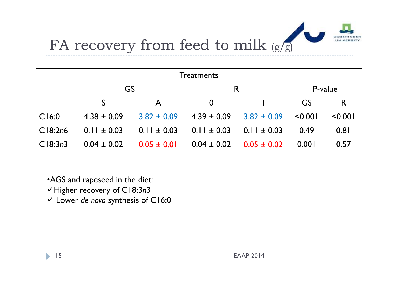

# FA recovery from feed to milk (g/g)

| <b>Treatments</b> |                 |                 |                 |                 |         |         |  |
|-------------------|-----------------|-----------------|-----------------|-----------------|---------|---------|--|
|                   | GS              |                 |                 | R               |         | P-value |  |
|                   |                 | Α               | $\bf{0}$        |                 | GS      | R       |  |
| CI6:0             | $4.38 \pm 0.09$ | $3.82 \pm 0.09$ | $4.39 \pm 0.09$ | $3.82 \pm 0.09$ | < 0.001 | < 0.001 |  |
| CI8:2n6           | $0.11 \pm 0.03$ | $0.11 \pm 0.03$ | $0.11 \pm 0.03$ | $0.11 \pm 0.03$ | 0.49    | 0.81    |  |
| CI8:3n3           | $0.04 \pm 0.02$ | $0.05 \pm 0.01$ | $0.04 \pm 0.02$ | $0.05 \pm 0.02$ | 0.001   | 0.57    |  |

- •AGS and rapeseed in the diet:
- Higher recovery of C18:3 *n* 3
- Lower *de novo* synthesis of C16:0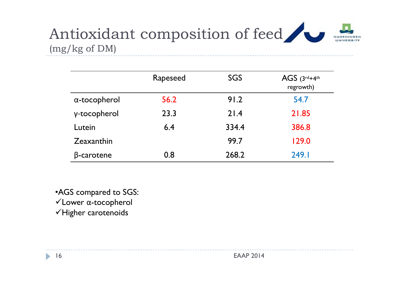

|                      | Rapeseed | SGS   | AGS $(3^{rd}+4^{th})$<br>regrowth) |
|----------------------|----------|-------|------------------------------------|
| $\alpha$ -tocopherol | 56.2     | 91.2  | 54.7                               |
| γ-tocopherol         | 23.3     | 21.4  | 21.85                              |
| Lutein               | 6.4      | 334.4 | 386.8                              |
| Zeaxanthin           |          | 99.7  | 129.0                              |
| $\beta$ -carotene    | 0.8      | 268.2 | 249.I                              |

•AGS compared to SGS: Lower <sup>α</sup>-tocopherol  $\checkmark$ Higher carotenoids

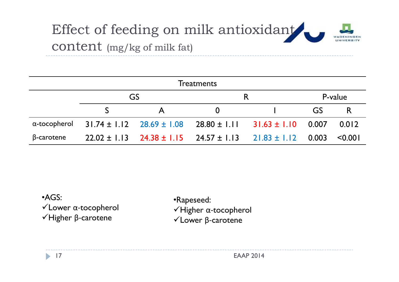

| <b>Treatments</b>    |  |              |                                                                           |  |           |              |  |
|----------------------|--|--------------|---------------------------------------------------------------------------|--|-----------|--------------|--|
|                      |  | GS           |                                                                           |  |           | P-value      |  |
|                      |  | $\mathbf{A}$ | $\bf{0}$                                                                  |  | <b>GS</b> |              |  |
| $\alpha$ -tocopherol |  |              | $31.74 \pm 1.12$ $28.69 \pm 1.08$ $28.80 \pm 1.11$ $31.63 \pm 1.10$ 0.007 |  |           | 0.012        |  |
| $\beta$ -carotene    |  |              | $22.02 \pm 1.13$ $24.38 \pm 1.15$ $24.57 \pm 1.13$ $21.83 \pm 1.12$ 0.003 |  |           | $\leq 0.001$ |  |

•AGS:Lower α‐tocopherol Higher β‐carotene

•Rapeseed: Higher α‐tocopherol Lower β‐carotene

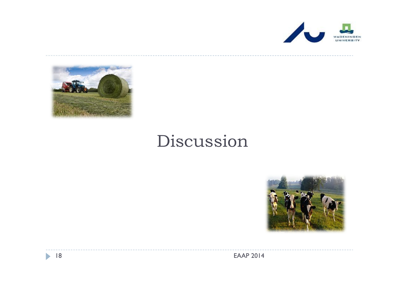



# Discussion



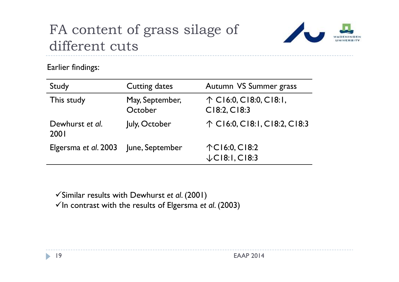# FA content of grass silage of different cuts



Earlier findings:

| Study                   | <b>Cutting dates</b>       | Autumn VS Summer grass                          |
|-------------------------|----------------------------|-------------------------------------------------|
| This study              | May, September,<br>October | $\uparrow$ C16:0, C18:0, C18:1,<br>C18:2, C18:3 |
| Dewhurst et al.<br>2001 | July, October              | ↑ C16:0, C18:1, C18:2, C18:3                    |
| Elgersma et al. 2003    | June, September            | 个C16:0, C18:2<br>$\downarrow$ CI8:I, CI8:3      |

Similar results with Dewhurst *et al*. (2001)

 $\checkmark$  In contrast with the results of Elgersma *et al.* (2003)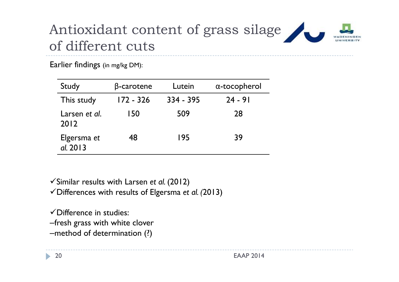# Antioxidant content of grass silage of different cuts

Earlier findings (in mg/kg DM):

| Study                   | $\beta$ -carotene | Lutein    | $\alpha$ -tocopherol |
|-------------------------|-------------------|-----------|----------------------|
| This study              | 172 - 326         | 334 - 395 | $24 - 91$            |
| Larsen et al.<br>2012   | 150               | 509       | 28                   |
| Elgersma et<br>al. 2013 | 48                | 195       | 39                   |

Similar results with Larsen *et al.* (2012)

Differences with results of Elgersma *et al. (*2013)

 $\checkmark$  Difference in studies:

‒fresh grass with white clover

-method of determination (?)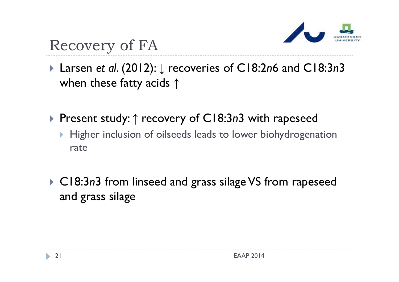

# Recovery of FA

- Larsen *et al*. (2012): ↓ recoveries of C18:2*n*6 and C18:3*n*3 when these fatty acids  $\uparrow$
- Present study: ↑ recovery of C18:3*n*3 with rapeseed
	- $\blacktriangleright$  Higher inclusion of oilseeds leads to lower biohydrogenation rate
- ▶ C18:3*n*3 from linseed and grass silage VS from rapeseed and grass silage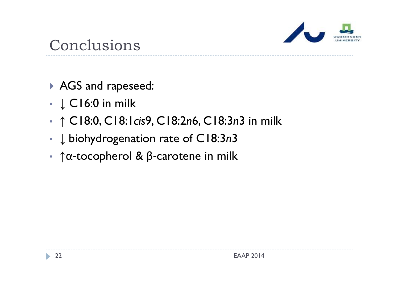

## Conclusions

- AGS and rapeseed:
- •• ↓ C16:0 in milk
- •↑ C18:0, C18:1*cis*9, C18:2*n*6, C18:3*n*3 in milk
- •↓ biohydrogenation rate of C18:3*n*3
- •• ↑α-tocopherol & β-carotene in milk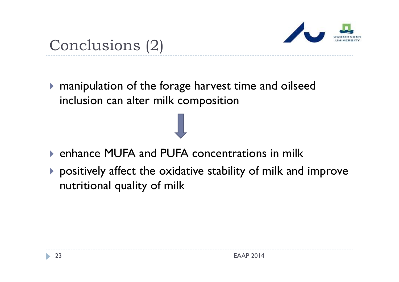

# Conclusions (2)

 manipulation of the forage harvest time and oilseed inclusion can alter milk composition

- enhance MUFA and PUFA concentrations in milk
- positively affect the oxidative stability of milk and improve nutritional quality of milk